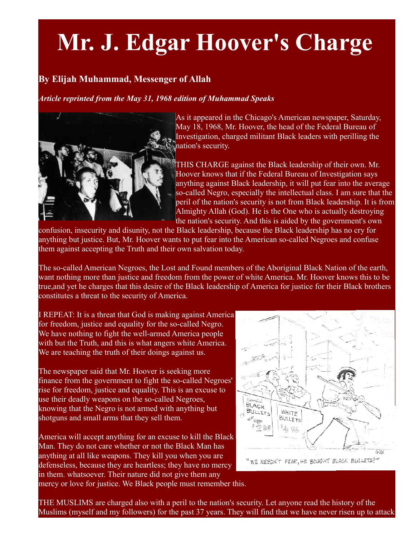## **Mr. J. Edgar Hoover's Charge**

## **By Elijah Muhammad, Messenger of Allah**

*Article reprinted from the May 31, 1968 edition of Muhammad Speaks*



As it appeared in the Chicago's American newspaper, Saturday, May 18, 1968, Mr. Hoover, the head of the Federal Bureau of Investigation, charged militant Black leaders with perilling the nation's security.

THIS CHARGE against the Black leadership of their own. Mr. Hoover knows that if the Federal Bureau of Investigation says anything against Black leadership, it will put fear into the average so-called Negro, especially the intellectual class. I am sure that the peril of the nation's security is not from Black leadership. It is from Almighty Allah (God). He is the One who is actually destroying the nation's security. And this is aided by the government's own

confusion, insecurity and disunity, not the Black leadership, because the Black leadership has no cry for anything but justice. But, Mr. Hoover wants to put fear into the American so-called Negroes and confuse them against accepting the Truth and their own salvation today.

The so-called American Negroes, the Lost and Found members of the Aboriginal Black Nation of the earth, want nothing more than justice and freedom from the power of white America. Mr. Hoover knows this to be true,and yet he charges that this desire of the Black leadership of America for justice for their Black brothers constitutes a threat to the security of America.

I REPEAT: It is a threat that God is making against America for freedom, justice and equality for the so-called Negro. We have nothing to fight the well-armed America people with but the Truth, and this is what angers white America. We are teaching the truth of their doings against us.

The newspaper said that Mr. Hoover is seeking more finance from the government to fight the so-called Negroes' rise for freedom, justice and equality. This is an excuse to use their deadly weapons on the so-called Negroes, knowing that the Negro is not armed with anything but shotguns and small arms that they sell them.

America will accept anything for an excuse to kill the Black Man. They do not care whether or not the Black Man has anything at all like weapons. They kill you when you are defenseless, because they are heartless; they have no mercy in them. whatsoever. Their nature did not give them any mercy or love for justice. We Black people must remember this.



THE MUSLIMS are charged also with a peril to the nation's security. Let anyone read the history of the Muslims (myself and my followers) for the past 37 years. They will find that we have never risen up to attack